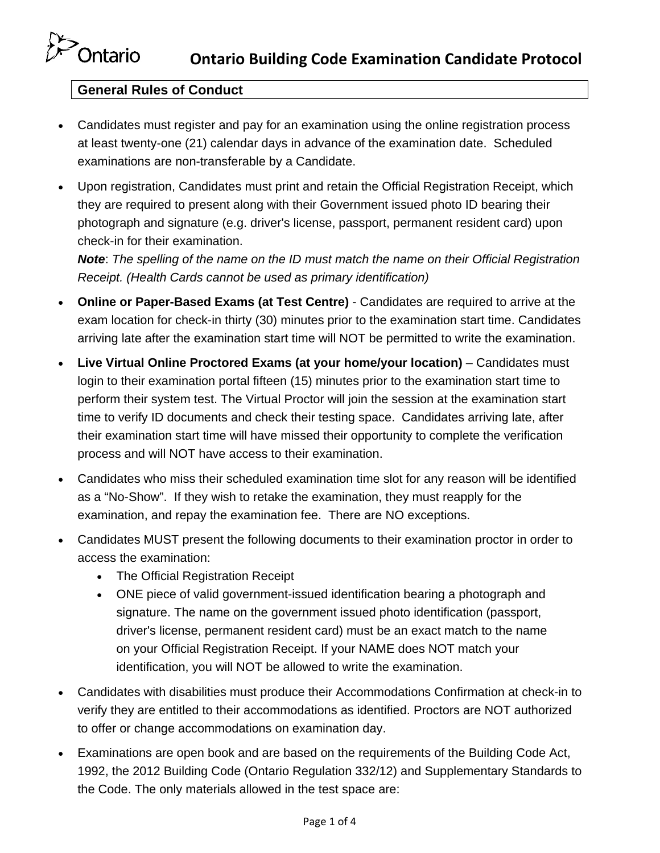## **General Rules of Conduct**

- Candidates must register and pay for an examination using the online registration process at least twenty-one (21) calendar days in advance of the examination date. Scheduled examinations are non-transferable by a Candidate.
- Upon registration, Candidates must print and retain the Official Registration Receipt, which they are required to present along with their Government issued photo ID bearing their photograph and signature (e.g. driver's license, passport, permanent resident card) upon check-in for their examination.

*Note*: *The spelling of the name on the ID must match the name on their Official Registration Receipt. (Health Cards cannot be used as primary identification)*

- **Online or Paper-Based Exams (at Test Centre)** Candidates are required to arrive at the exam location for check-in thirty (30) minutes prior to the examination start time. Candidates arriving late after the examination start time will NOT be permitted to write the examination.
- **Live Virtual Online Proctored Exams (at your home/your location)** Candidates must login to their examination portal fifteen (15) minutes prior to the examination start time to perform their system test. The Virtual Proctor will join the session at the examination start time to verify ID documents and check their testing space. Candidates arriving late, after their examination start time will have missed their opportunity to complete the verification process and will NOT have access to their examination.
- Candidates who miss their scheduled examination time slot for any reason will be identified as a "No-Show". If they wish to retake the examination, they must reapply for the examination, and repay the examination fee. There are NO exceptions.
- Candidates MUST present the following documents to their examination proctor in order to access the examination:
	- The Official Registration Receipt
	- ONE piece of valid government-issued identification bearing a photograph and signature. The name on the government issued photo identification (passport, driver's license, permanent resident card) must be an exact match to the name on your Official Registration Receipt. If your NAME does NOT match your identification, you will NOT be allowed to write the examination.
- Candidates with disabilities must produce their Accommodations Confirmation at check-in to verify they are entitled to their accommodations as identified. Proctors are NOT authorized to offer or change accommodations on examination day.
- Examinations are open book and are based on the requirements of the Building Code Act, 1992, the 2012 Building Code (Ontario Regulation 332/12) and Supplementary Standards to the Code. The only materials allowed in the test space are: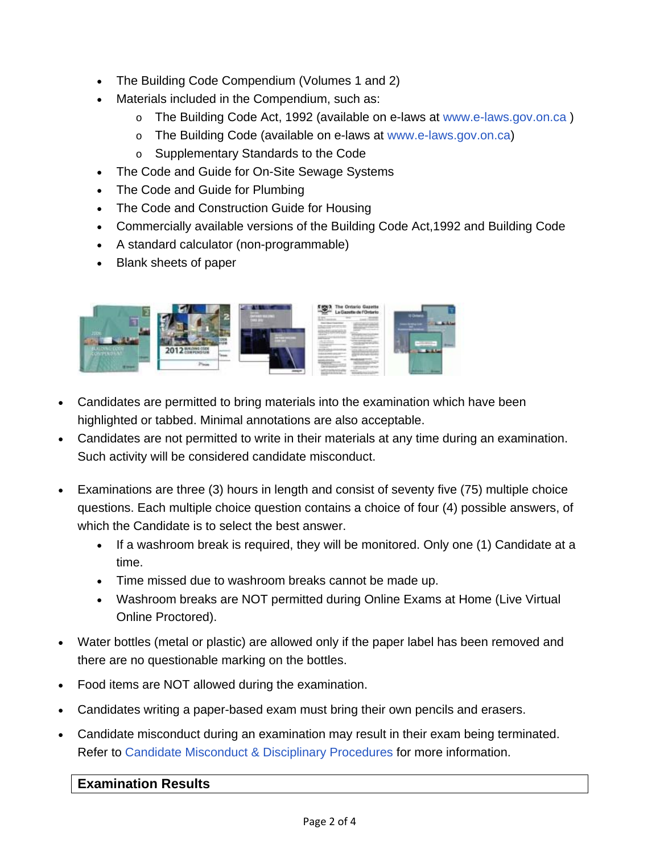- The Building Code Compendium (Volumes 1 and 2)
- Materials included in the Compendium, such as:
	- o The Building Code Act, 1992 (available on e-laws at www.e-laws.gov.on.ca )
	- o The Building Code (available on e-laws at www.e-laws.gov.on.ca)
	- o Supplementary Standards to the Code
- The Code and Guide for On-Site Sewage Systems
- The Code and Guide for Plumbing
- The Code and Construction Guide for Housing
- Commercially available versions of the Building Code Act,1992 and Building Code
- A standard calculator (non-programmable)
- Blank sheets of paper



- Candidates are permitted to bring materials into the examination which have been highlighted or tabbed. Minimal annotations are also acceptable.
- Candidates are not permitted to write in their materials at any time during an examination. Such activity will be considered candidate misconduct.
- Examinations are three (3) hours in length and consist of seventy five (75) multiple choice questions. Each multiple choice question contains a choice of four (4) possible answers, of which the Candidate is to select the best answer.
	- If a washroom break is required, they will be monitored. Only one (1) Candidate at a time.
	- Time missed due to washroom breaks cannot be made up.
	- Washroom breaks are NOT permitted during Online Exams at Home (Live Virtual Online Proctored).
- Water bottles (metal or plastic) are allowed only if the paper label has been removed and there are no questionable marking on the bottles.
- Food items are NOT allowed during the examination.
- Candidates writing a paper-based exam must bring their own pencils and erasers.
- Candidate misconduct during an examination may result in their exam being terminated. Refer to Candidate Misconduct & Disciplinary Procedures for more information.

## **Examination Results**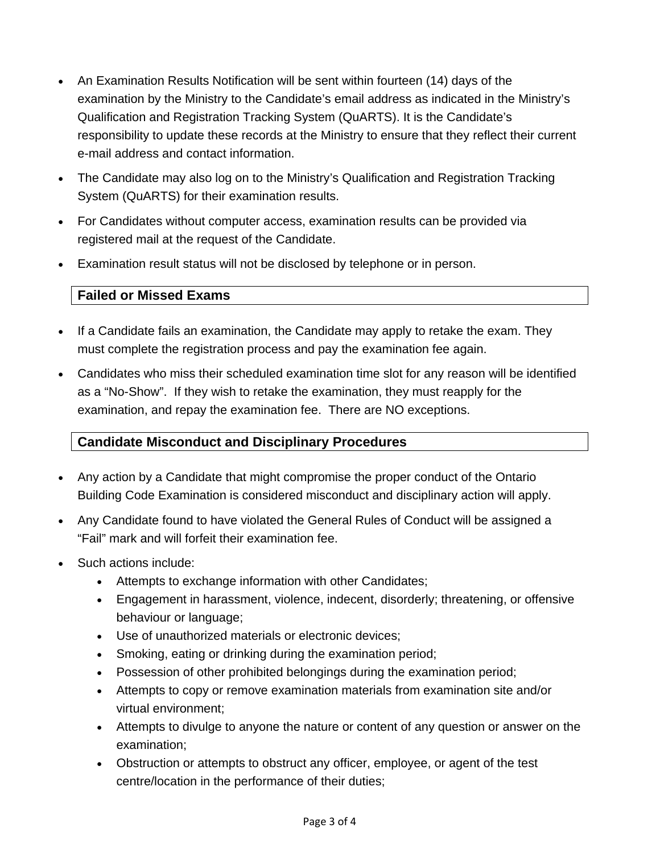- An Examination Results Notification will be sent within fourteen (14) days of the examination by the Ministry to the Candidate's email address as indicated in the Ministry's Qualification and Registration Tracking System (QuARTS). It is the Candidate's responsibility to update these records at the Ministry to ensure that they reflect their current e-mail address and contact information.
- The Candidate may also log on to the Ministry's Qualification and Registration Tracking System (QuARTS) for their examination results.
- For Candidates without computer access, examination results can be provided via registered mail at the request of the Candidate.
- Examination result status will not be disclosed by telephone or in person.

## **Failed or Missed Exams**

- If a Candidate fails an examination, the Candidate may apply to retake the exam. They must complete the registration process and pay the examination fee again.
- Candidates who miss their scheduled examination time slot for any reason will be identified as a "No-Show". If they wish to retake the examination, they must reapply for the examination, and repay the examination fee. There are NO exceptions.

## **Candidate Misconduct and Disciplinary Procedures**

- Any action by a Candidate that might compromise the proper conduct of the Ontario Building Code Examination is considered misconduct and disciplinary action will apply.
- Any Candidate found to have violated the General Rules of Conduct will be assigned a "Fail" mark and will forfeit their examination fee.
- Such actions include:
	- Attempts to exchange information with other Candidates;
	- Engagement in harassment, violence, indecent, disorderly; threatening, or offensive behaviour or language;
	- Use of unauthorized materials or electronic devices;
	- Smoking, eating or drinking during the examination period;
	- Possession of other prohibited belongings during the examination period;
	- Attempts to copy or remove examination materials from examination site and/or virtual environment;
	- Attempts to divulge to anyone the nature or content of any question or answer on the examination;
	- Obstruction or attempts to obstruct any officer, employee, or agent of the test centre/location in the performance of their duties;